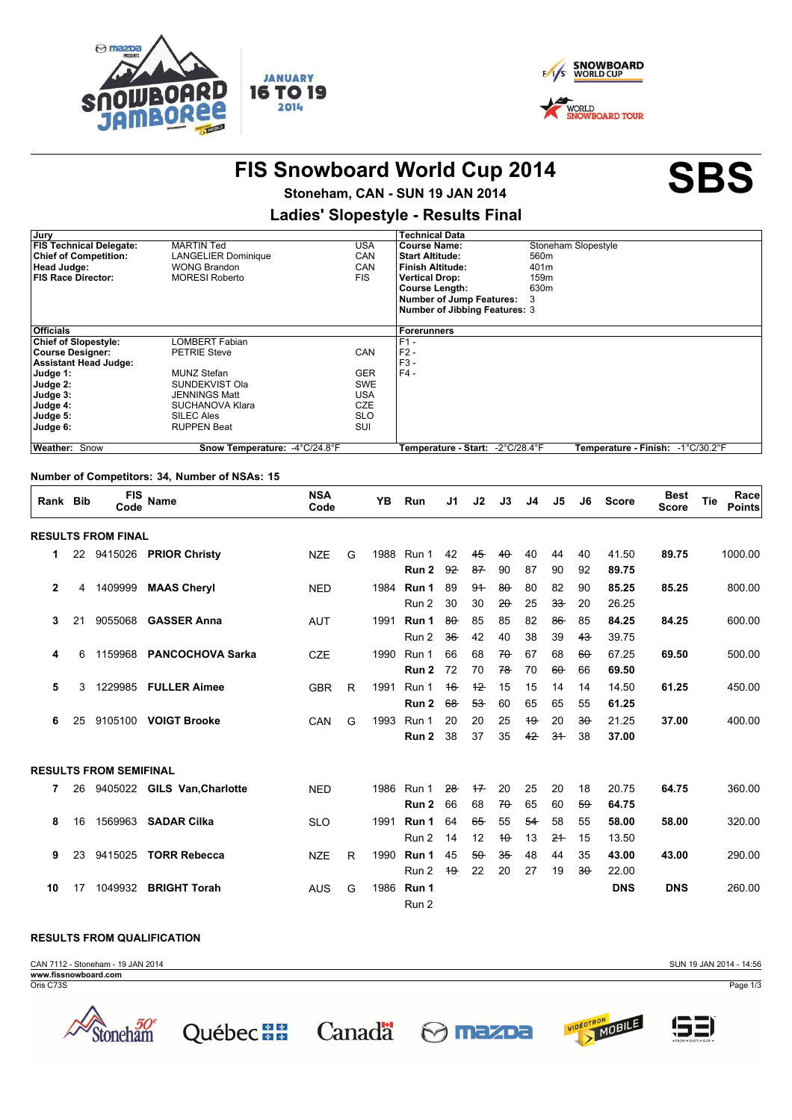



VIDÉOTRON<br>> MOBILE

<u>(53</u>

# FIS Snowboard World Cup 2014<br>
SBS

## **Stoneham, CAN - SUN 19 JAN 2014**

### **Ladies' Slopestyle Results Final**

| Jury                           |                               |            | <b>Technical Data</b>                |                                   |
|--------------------------------|-------------------------------|------------|--------------------------------------|-----------------------------------|
| <b>FIS Technical Delegate:</b> | <b>MARTIN Ted</b>             | USA        | <b>Course Name:</b>                  | Stoneham Slopestyle               |
| <b>Chief of Competition:</b>   | <b>LANGELIER Dominique</b>    | CAN        | <b>Start Altitude:</b>               | 560m                              |
| Head Judge:                    | <b>WONG Brandon</b>           | CAN        | <b>Finish Altitude:</b>              | 401m                              |
| <b>FIS Race Director:</b>      | <b>MORESI Roberto</b>         | <b>FIS</b> | <b>Vertical Drop:</b>                | 159m                              |
|                                |                               |            | <b>Course Length:</b>                | 630m                              |
|                                |                               |            | <b>Number of Jump Features:</b>      | 3                                 |
|                                |                               |            | <b>Number of Jibbing Features: 3</b> |                                   |
|                                |                               |            |                                      |                                   |
| <b>Officials</b>               |                               |            | Forerunners                          |                                   |
| <b>Chief of Slopestyle:</b>    | LOMBERT Fabian                |            | $F1 -$                               |                                   |
| <b>Course Designer:</b>        | <b>PETRIE Steve</b>           | CAN        | $F2 -$                               |                                   |
| <b>Assistant Head Judge:</b>   |                               |            | $F3 -$                               |                                   |
| Judge 1:                       | MUNZ Stefan                   | <b>GER</b> | $F4 -$                               |                                   |
| Judge 2:                       | SUNDEKVIST Ola                | <b>SWE</b> |                                      |                                   |
| Judge 3:                       | JENNINGS Matt                 | <b>USA</b> |                                      |                                   |
| Judge 4:                       | SUCHANOVA Klara               | <b>CZE</b> |                                      |                                   |
| Judge 5:                       | SILEC Ales                    | <b>SLO</b> |                                      |                                   |
| Judge 6:                       | <b>RUPPEN Beat</b>            | SUI        |                                      |                                   |
|                                |                               |            |                                      |                                   |
| Weather: Snow                  | Snow Temperature: -4°C/24.8°F |            | -2°C/28.4°F<br>Temperature - Start:  | Temperature - Finish: -1°C/30.2°F |

#### **Number of Competitors: 34, Number of NSAs: 15**

| Rank Bib       |    | <b>FIS</b><br>Code            | Name                        | <b>NSA</b><br>Code |   | YB   | Run              | J1     | J2     | J3     | J <sub>4</sub> | J5             | J6     | <b>Score</b> | <b>Best</b><br><b>Score</b> | Tie | Race<br><b>Points</b> |
|----------------|----|-------------------------------|-----------------------------|--------------------|---|------|------------------|--------|--------|--------|----------------|----------------|--------|--------------|-----------------------------|-----|-----------------------|
|                |    | <b>RESULTS FROM FINAL</b>     |                             |                    |   |      |                  |        |        |        |                |                |        |              |                             |     |                       |
| 1              |    | 22 9415026                    | <b>PRIOR Christy</b>        | <b>NZE</b>         | G | 1988 | Run 1            | 42     | 45     | $40 -$ | 40             | 44             | 40     | 41.50        | 89.75                       |     | 1000.00               |
|                |    |                               |                             |                    |   |      | Run 2            | 92     | 87     | 90     | 87             | 90             | 92     | 89.75        |                             |     |                       |
| $\overline{2}$ | 4  | 1409999                       | <b>MAAS Cheryl</b>          | <b>NED</b>         |   | 1984 | Run 1            | 89     | 94     | $80 -$ | 80             | 82             | 90     | 85.25        | 85.25                       |     | 800.00                |
|                |    |                               |                             |                    |   |      | Run 2            | 30     | 30     | $20 -$ | 25             | $33 -$         | 20     | 26.25        |                             |     |                       |
| 3              | 21 | 9055068                       | <b>GASSER Anna</b>          | <b>AUT</b>         |   | 1991 | Run 1            | $80 -$ | 85     | 85     | 82             | $86 -$         | 85     | 84.25        | 84.25                       |     | 600.00                |
|                |    |                               |                             |                    |   |      | Run 2            | 36     | 42     | 40     | 38             | 39             | $43 -$ | 39.75        |                             |     |                       |
| 4              | 6  | 1159968                       | <b>PANCOCHOVA Sarka</b>     | <b>CZE</b>         |   | 1990 | Run 1            | 66     | 68     | $70 -$ | 67             | 68             | $60 -$ | 67.25        | 69.50                       |     | 500.00                |
|                |    |                               |                             |                    |   |      | Run <sub>2</sub> | 72     | 70     | 78     | 70             | $60 -$         | 66     | 69.50        |                             |     |                       |
| 5              | 3  | 1229985                       | <b>FULLER Aimee</b>         | <b>GBR</b>         | R | 1991 | Run 1            | 16     | $+2$   | 15     | 15             | 14             | 14     | 14.50        | 61.25                       |     | 450.00                |
|                |    |                               |                             |                    |   |      | Run <sub>2</sub> | 68     | $53 -$ | 60     | 65             | 65             | 55     | 61.25        |                             |     |                       |
| 6              | 25 |                               | 9105100 VOIGT Brooke        | CAN                | G | 1993 | Run 1            | 20     | 20     | 25     | $+9$           | 20             | $30 -$ | 21.25        | 37.00                       |     | 400.00                |
|                |    |                               |                             |                    |   |      | Run <sub>2</sub> | 38     | 37     | 35     | 42             | 3 <sup>4</sup> | 38     | 37.00        |                             |     |                       |
|                |    | <b>RESULTS FROM SEMIFINAL</b> |                             |                    |   |      |                  |        |        |        |                |                |        |              |                             |     |                       |
| 7              | 26 |                               | 9405022 GILS Van, Charlotte | <b>NED</b>         |   | 1986 | Run 1            | $28 -$ | $+7$   | 20     | 25             | 20             | 18     | 20.75        | 64.75                       |     | 360.00                |
|                |    |                               |                             |                    |   |      | Run 2            | 66     | 68     | $70 -$ | 65             | 60             | 59     | 64.75        |                             |     |                       |
| 8              | 16 | 1569963                       | <b>SADAR Cilka</b>          | <b>SLO</b>         |   | 1991 | Run 1            | 64     | 65     | 55     | 54             | 58             | 55     | 58.00        | 58.00                       |     | 320.00                |
|                |    |                               |                             |                    |   |      | Run 2            | 14     | 12     | $+$    | 13             | $2+$           | 15     | 13.50        |                             |     |                       |
| 9              | 23 | 9415025                       | <b>TORR Rebecca</b>         | <b>NZE</b>         | R | 1990 | Run 1            | 45     | $50 -$ | $35 -$ | 48             | 44             | 35     | 43.00        | 43.00                       |     | 290.00                |
|                |    |                               |                             |                    |   |      | Run 2            | $+9$   | 22     | 20     | 27             | 19             | $30 -$ | 22.00        |                             |     |                       |
| 10             | 17 | 1049932                       | <b>BRIGHT Torah</b>         | <b>AUS</b>         | G | 1986 | Run 1            |        |        |        |                |                |        | <b>DNS</b>   | <b>DNS</b>                  |     | 260.00                |
|                |    |                               |                             |                    |   |      | Run 2            |        |        |        |                |                |        |              |                             |     |                       |

#### **RESULTS FROM QUALIFICATION**

CAN 7112 - Stoneham - 19 JAN 2014 Page 1/3 SUN 19 JAN 2014 - 14:56 Oris C73S **www.fissnowboard.com**

Québec : Canada & mazoa

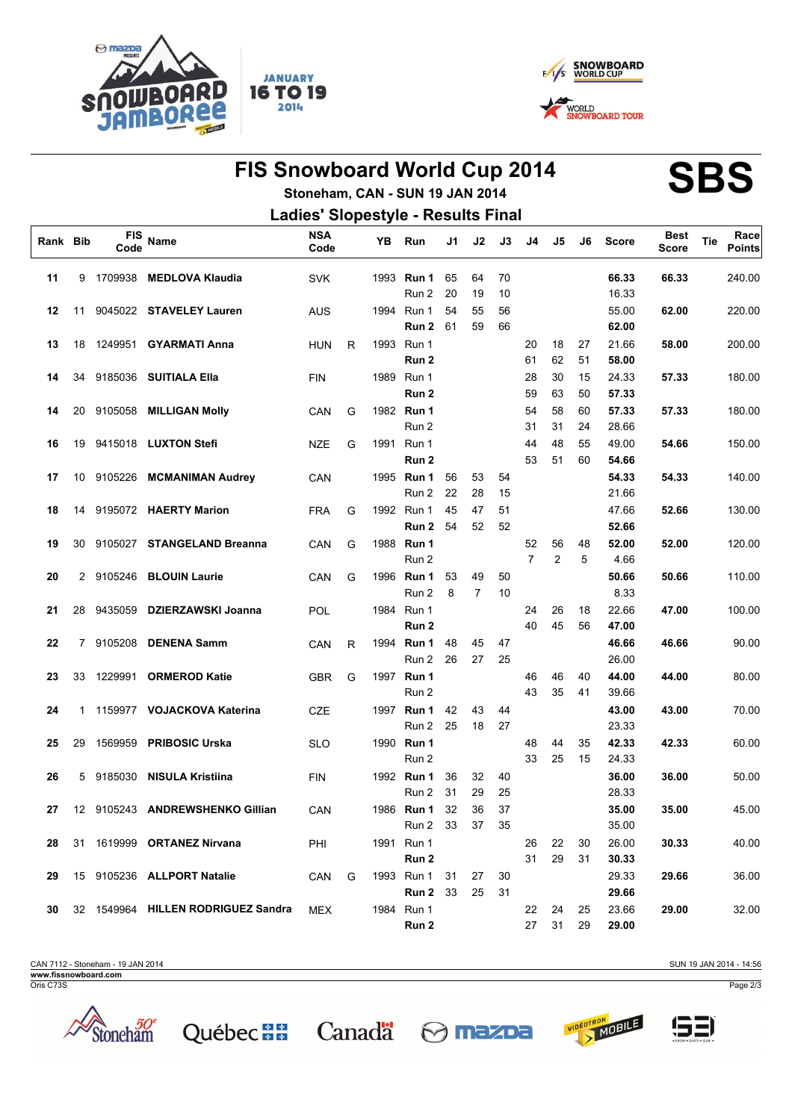



# FIS Snowboard World Cup 2014<br>
Standard CAN SUN 19 HAL2014

## **Stoneham, CAN - SUN 19 JAN 2014 Ladies' Slopestyle Results Final**

| Rank Bib |              | <b>FIS</b><br>Code | Name                               | <b>NSA</b><br>Code |   | YΒ   | Run               | J1 | J2             | J3 | J4             | J5             | J6 | <b>Score</b> | <b>Best</b><br><b>Score</b> | Tie | Race<br><b>Points</b> |
|----------|--------------|--------------------|------------------------------------|--------------------|---|------|-------------------|----|----------------|----|----------------|----------------|----|--------------|-----------------------------|-----|-----------------------|
| 11       | 9            | 1709938            | <b>MEDLOVA Klaudia</b>             | <b>SVK</b>         |   |      | 1993 Run 1        | 65 | 64             | 70 |                |                |    | 66.33        | 66.33                       |     | 240.00                |
|          |              |                    |                                    |                    |   |      | Run 2             | 20 | 19             | 10 |                |                |    | 16.33        |                             |     |                       |
| 12       | 11           | 9045022            | <b>STAVELEY Lauren</b>             | <b>AUS</b>         |   |      | 1994 Run 1        | 54 | 55             | 56 |                |                |    | 55.00        | 62.00                       |     | 220.00                |
|          |              |                    |                                    |                    |   |      | Run 2             | 61 | 59             | 66 |                |                |    | 62.00        |                             |     |                       |
| 13       | 18           | 1249951            | <b>GYARMATI Anna</b>               | <b>HUN</b>         | R |      | 1993 Run 1        |    |                |    | 20             | 18             | 27 | 21.66        | 58.00                       |     | 200.00                |
|          |              |                    |                                    |                    |   |      | Run 2             |    |                |    | 61             | 62             | 51 | 58.00        |                             |     |                       |
| 14       | 34           | 9185036            | <b>SUITIALA Ella</b>               | <b>FIN</b>         |   |      | 1989 Run 1        |    |                |    | 28             | 30             | 15 | 24.33        | 57.33                       |     | 180.00                |
|          |              |                    |                                    |                    |   |      | Run 2             |    |                |    | 59             | 63             | 50 | 57.33        |                             |     |                       |
| 14       | 20           | 9105058            | <b>MILLIGAN Molly</b>              | CAN                | G |      | 1982 Run 1        |    |                |    | 54             | 58             | 60 | 57.33        | 57.33                       |     | 180.00                |
|          |              |                    |                                    |                    |   |      | Run 2             |    |                |    | 31             | 31             | 24 | 28.66        |                             |     |                       |
| 16       | 19           |                    | 9415018 LUXTON Stefi               | <b>NZE</b>         | G |      | 1991 Run 1        |    |                |    | 44             | 48             | 55 | 49.00        | 54.66                       |     | 150.00                |
|          |              |                    |                                    |                    |   |      | Run 2             |    |                |    | 53             | 51             | 60 | 54.66        |                             |     |                       |
| 17       | 10           |                    | 9105226 MCMANIMAN Audrey           | CAN                |   |      | 1995 <b>Run 1</b> | 56 | 53             | 54 |                |                |    | 54.33        | 54.33                       |     | 140.00                |
|          |              |                    |                                    |                    |   |      | Run 2             | 22 | 28             | 15 |                |                |    | 21.66        |                             |     |                       |
| 18       | 14           |                    | 9195072 HAERTY Marion              | <b>FRA</b>         | G |      | 1992 Run 1        | 45 | 47             | 51 |                |                |    | 47.66        | 52.66                       |     | 130.00                |
|          |              |                    |                                    |                    |   |      | Run 2             | 54 | 52             | 52 |                |                |    | 52.66        |                             |     |                       |
| 19       | 30           | 9105027            | <b>STANGELAND Breanna</b>          | CAN                | G |      | 1988 Run 1        |    |                |    | 52             | 56             | 48 | 52.00        | 52.00                       |     | 120.00                |
|          |              |                    |                                    |                    |   |      | Run 2             |    |                |    | $\overline{7}$ | $\overline{c}$ | 5  | 4.66         |                             |     |                       |
| 20       | $\mathbf{2}$ | 9105246            | <b>BLOUIN Laurie</b>               | CAN                | G |      | 1996 Run 1        | 53 | 49             | 50 |                |                |    | 50.66        | 50.66                       |     | 110.00                |
|          |              |                    |                                    |                    |   |      | Run 2             | 8  | $\overline{7}$ | 10 |                |                |    | 8.33         |                             |     |                       |
| 21       | 28           | 9435059            | <b>DZIERZAWSKI Joanna</b>          | <b>POL</b>         |   |      | 1984 Run 1        |    |                |    | 24             | 26             | 18 | 22.66        | 47.00                       |     | 100.00                |
|          |              |                    |                                    |                    |   |      | Run 2             |    |                |    | 40             | 45             | 56 | 47.00        |                             |     |                       |
| 22       | 7            | 9105208            | <b>DENENA Samm</b>                 | CAN                | R | 1994 | Run 1             | 48 | 45             | 47 |                |                |    | 46.66        | 46.66                       |     | 90.00                 |
|          |              |                    |                                    |                    |   |      | Run 2             | 26 | 27             | 25 |                |                |    | 26.00        |                             |     |                       |
| 23       | 33           | 1229991            | <b>ORMEROD Katie</b>               | <b>GBR</b>         | G |      | 1997 Run 1        |    |                |    | 46             | 46             | 40 | 44.00        | 44.00                       |     | 80.00                 |
|          |              |                    |                                    |                    |   |      | Run 2             |    |                |    | 43             | 35             | 41 | 39.66        |                             |     |                       |
| 24       | 1            |                    | 1159977 VOJACKOVA Katerina         | CZE                |   |      | 1997 <b>Run 1</b> | 42 | 43             | 44 |                |                |    | 43.00        | 43.00                       |     | 70.00                 |
|          |              |                    |                                    |                    |   |      | Run 2             | 25 | 18             | 27 |                |                |    | 23.33        |                             |     |                       |
| 25       | 29           | 1569959            | <b>PRIBOSIC Urska</b>              | <b>SLO</b>         |   |      | 1990 Run 1        |    |                |    | 48             | 44             | 35 | 42.33        | 42.33                       |     | 60.00                 |
|          |              |                    |                                    |                    |   |      | Run 2             |    |                |    | 33             | 25             | 15 | 24.33        |                             |     |                       |
| 26       | 5            | 9185030            | <b>NISULA Kristiina</b>            | <b>FIN</b>         |   |      | 1992 Run 1        | 36 | 32             | 40 |                |                |    | 36.00        | 36.00                       |     | 50.00                 |
|          |              |                    |                                    |                    |   |      | Run 2             | 31 | 29             | 25 |                |                |    | 28.33        |                             |     |                       |
| 27       |              |                    | 12 9105243 ANDREWSHENKO Gillian    | CAN                |   |      | 1986 Run 1        | 32 | 36             | 37 |                |                |    | 35.00        | 35.00                       |     | 45.00                 |
|          |              |                    |                                    |                    |   |      | Run 2 33          |    | 37             | 35 |                |                |    | 35.00        |                             |     |                       |
| 28       | 31           |                    | 1619999 ORTANEZ Nirvana            | PHI                |   |      | 1991 Run 1        |    |                |    | 26             | 22             | 30 | 26.00        | 30.33                       |     | 40.00                 |
|          |              |                    |                                    |                    |   |      | Run 2             |    |                |    | 31             | 29             | 31 | 30.33        |                             |     |                       |
| 29       |              |                    | 15 9105236 ALLPORT Natalie         | CAN                | G |      | 1993 Run 1        | 31 | 27             | 30 |                |                |    | 29.33        | 29.66                       |     | 36.00                 |
|          |              |                    |                                    |                    |   |      | <b>Run 2</b> 33   |    | 25             | 31 |                |                |    | 29.66        |                             |     |                       |
| 30       |              |                    | 32 1549964 HILLEN RODRIGUEZ Sandra | MEX                |   |      | 1984 Run 1        |    |                |    | 22             | 24             | 25 | 23.66        | 29.00                       |     | 32.00                 |
|          |              |                    |                                    |                    |   |      | Run 2             |    |                |    | 27             | 31             | 29 | 29.00        |                             |     |                       |

CAN 7112 - Stoneham - 19 JAN 2014 **www.fissnowboard.com**

Oris C73S









Page 2/3

SUN 19 JAN 2014 - 14:56